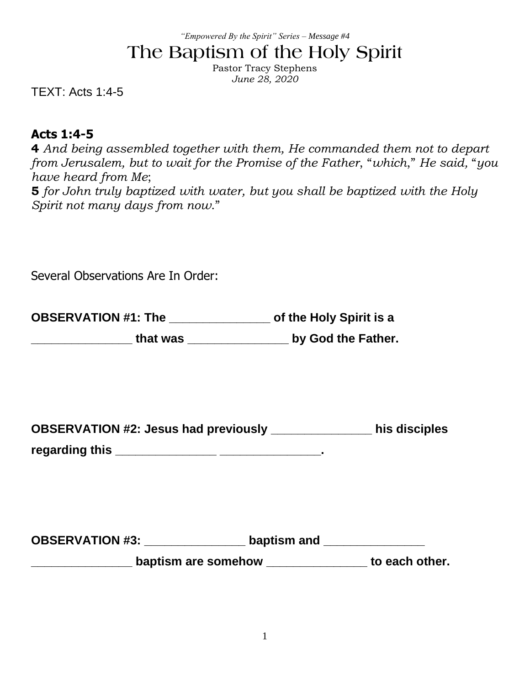#### *"Empowered By the Spirit" Series – Message #4*

# **The Baptism of the Holy Spirit**

Pastor Tracy Stephens *June 28, 2020*

TEXT: Acts 1:4-5

#### **Acts 1:4-5**

**4** *And being assembled together with them, He commanded them not to depart from Jerusalem, but to wait for the Promise of the Father*, "*which*," *He said,* "*you have heard from Me*;

**5** *for John truly baptized with water, but you shall be baptized with the Holy Spirit not many days from now*."

| Several Observations Are In Order:                                                                                                        |                                                      |
|-------------------------------------------------------------------------------------------------------------------------------------------|------------------------------------------------------|
| OBSERVATION #1: The _____________________ of the Holy Spirit is a<br>_____________________ that was __________________ by God the Father. |                                                      |
| OBSERVATION #2: Jesus had previously __________________ his disciples                                                                     |                                                      |
| OBSERVATION #3: _______________________ baptism and _________________                                                                     | baptism are somehow _________________ to each other. |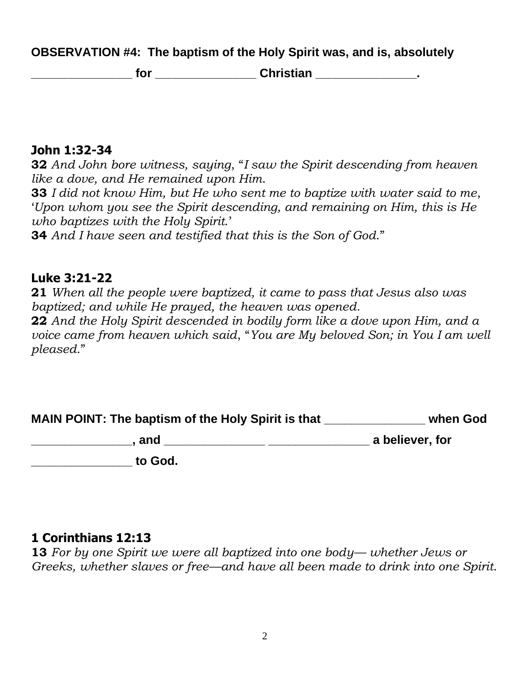**OBSERVATION #4: The baptism of the Holy Spirit was, and is, absolutely** 

**\_\_\_\_\_\_\_\_\_\_\_\_\_\_\_ for \_\_\_\_\_\_\_\_\_\_\_\_\_\_\_ Christian \_\_\_\_\_\_\_\_\_\_\_\_\_\_\_.**

#### **John 1:32-34**

**32** *And John bore witness, saying*, "*I saw the Spirit descending from heaven like a dove, and He remained upon Him*.

**33** *I did not know Him, but He who sent me to baptize with water said to me*, '*Upon whom you see the Spirit descending, and remaining on Him, this is He who baptizes with the Holy Spirit*.'

**34** *And I have seen and testified that this is the Son of God*."

#### **Luke 3:21-22**

*pleased*."

**21** *When all the people were baptized, it came to pass that Jesus also was baptized; and while He prayed, the heaven was opened.* **22** *And the Holy Spirit descended in bodily form like a dove upon Him, and a voice came from heaven which said*, "*You are My beloved Son; in You I am well* 

**MAIN POINT: The baptism of the Holy Spirit is that \_\_\_\_\_\_\_\_\_\_\_\_\_\_\_ when God** 

**\_\_\_\_\_\_\_\_\_\_\_\_\_\_\_, and \_\_\_\_\_\_\_\_\_\_\_\_\_\_\_ \_\_\_\_\_\_\_\_\_\_\_\_\_\_\_ a believer, for \_\_\_\_\_\_\_\_\_\_\_\_\_\_\_ to God.** 

## **1 Corinthians 12:13**

**13** *For by one Spirit we were all baptized into one body— whether Jews or Greeks, whether slaves or free—and have all been made to drink into one Spirit*.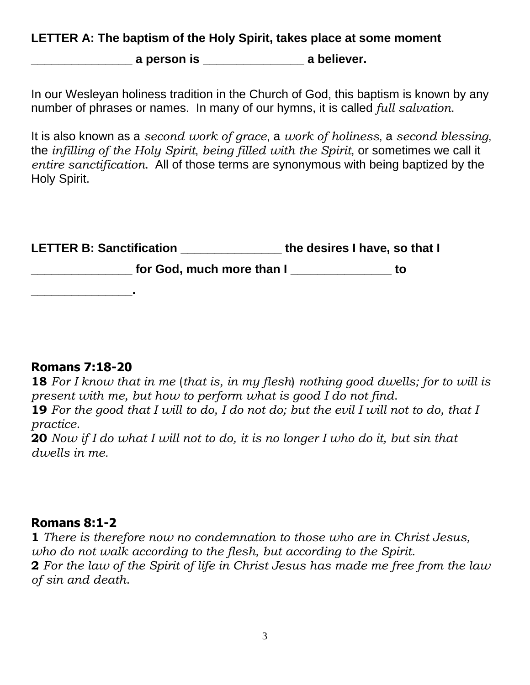#### **LETTER A: The baptism of the Holy Spirit, takes place at some moment**

**\_\_\_\_\_\_\_\_\_\_\_\_\_\_\_ a person is \_\_\_\_\_\_\_\_\_\_\_\_\_\_\_ a believer.**

In our Wesleyan holiness tradition in the Church of God, this baptism is known by any number of phrases or names. In many of our hymns, it is called *full salvation*.

It is also known as a *second work of grace*, a *work of holiness*, a *second blessing*, the *infilling of the Holy Spirit*, *being filled with the Spirit*, or sometimes we call it *entire sanctification*. All of those terms are synonymous with being baptized by the Holy Spirit.

| <b>LETTER B: Sanctification</b> | the desires I have, so that I |    |
|---------------------------------|-------------------------------|----|
| for God, much more than I       |                               | tΟ |
|                                 |                               |    |

## **Romans 7:18-20**

**18** *For I know that in me* (*that is, in my flesh*) *nothing good dwells; for to will is present with me, but how to perform what is good I do not find*.

**19** *For the good that I will to do, I do not do; but the evil I will not to do, that I practice*.

**20** *Now if I do what I will not to do, it is no longer I who do it, but sin that dwells in me.*

## **Romans 8:1-2**

**1** *There is therefore now no condemnation to those who are in Christ Jesus, who do not walk according to the flesh, but according to the Spirit*. **2** *For the law of the Spirit of life in Christ Jesus has made me free from the law of sin and death*.